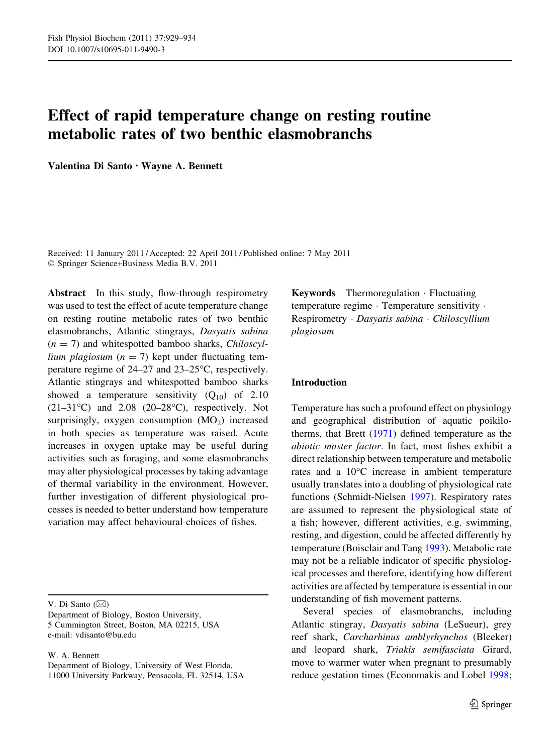# Effect of rapid temperature change on resting routine metabolic rates of two benthic elasmobranchs

Valentina Di Santo • Wayne A. Bennett

Received: 11 January 2011 / Accepted: 22 April 2011 / Published online: 7 May 2011 © Springer Science+Business Media B.V. 2011

Abstract In this study, flow-through respirometry was used to test the effect of acute temperature change on resting routine metabolic rates of two benthic elasmobranchs, Atlantic stingrays, Dasyatis sabina  $(n = 7)$  and whitespotted bamboo sharks, *Chiloscyl*lium plagiosum ( $n = 7$ ) kept under fluctuating temperature regime of 24–27 and 23–25°C, respectively. Atlantic stingrays and whitespotted bamboo sharks showed a temperature sensitivity  $(Q_{10})$  of 2.10  $(21-31^{\circ}C)$  and  $2.08$   $(20-28^{\circ}C)$ , respectively. Not surprisingly, oxygen consumption  $(MO<sub>2</sub>)$  increased in both species as temperature was raised. Acute increases in oxygen uptake may be useful during activities such as foraging, and some elasmobranchs may alter physiological processes by taking advantage of thermal variability in the environment. However, further investigation of different physiological processes is needed to better understand how temperature variation may affect behavioural choices of fishes.

V. Di Santo  $(\boxtimes)$ 

W. A. Bennett

Department of Biology, University of West Florida, 11000 University Parkway, Pensacola, FL 32514, USA

Keywords Thermoregulation - Fluctuating temperature regime - Temperature sensitivity - Respirometry - Dasyatis sabina - Chiloscyllium plagiosum

### Introduction

Temperature has such a profound effect on physiology and geographical distribution of aquatic poikilotherms, that Brett [\(1971](#page-4-0)) defined temperature as the abiotic master factor. In fact, most fishes exhibit a direct relationship between temperature and metabolic rates and a  $10^{\circ}$ C increase in ambient temperature usually translates into a doubling of physiological rate functions (Schmidt-Nielsen [1997\)](#page-5-0). Respiratory rates are assumed to represent the physiological state of a fish; however, different activities, e.g. swimming, resting, and digestion, could be affected differently by temperature (Boisclair and Tang [1993\)](#page-4-0). Metabolic rate may not be a reliable indicator of specific physiological processes and therefore, identifying how different activities are affected by temperature is essential in our understanding of fish movement patterns.

Several species of elasmobranchs, including Atlantic stingray, Dasyatis sabina (LeSueur), grey reef shark, Carcharhinus amblyrhynchos (Bleeker) and leopard shark, Triakis semifasciata Girard, move to warmer water when pregnant to presumably reduce gestation times (Economakis and Lobel [1998](#page-5-0);

Department of Biology, Boston University, 5 Cummington Street, Boston, MA 02215, USA e-mail: vdisanto@bu.edu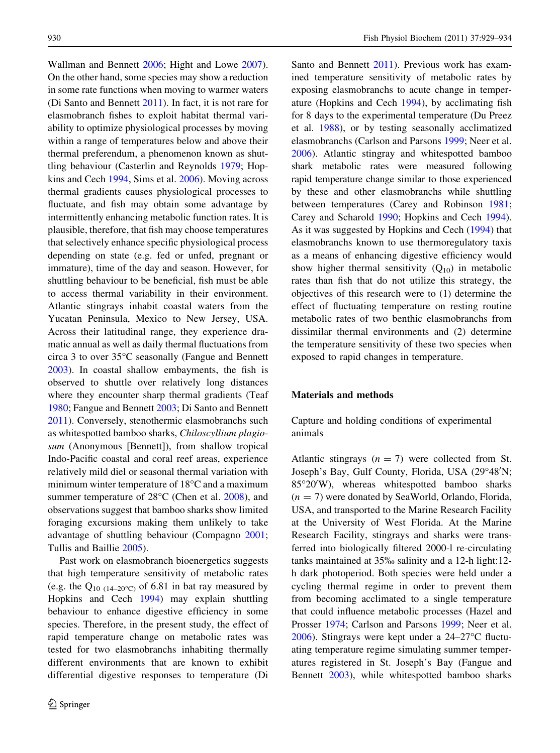Wallman and Bennett [2006;](#page-5-0) Hight and Lowe [2007](#page-5-0)). On the other hand, some species may show a reduction in some rate functions when moving to warmer waters (Di Santo and Bennett [2011](#page-4-0)). In fact, it is not rare for elasmobranch fishes to exploit habitat thermal variability to optimize physiological processes by moving within a range of temperatures below and above their thermal preferendum, a phenomenon known as shuttling behaviour (Casterlin and Reynolds [1979](#page-4-0); Hopkins and Cech [1994,](#page-5-0) Sims et al. [2006\)](#page-5-0). Moving across thermal gradients causes physiological processes to fluctuate, and fish may obtain some advantage by intermittently enhancing metabolic function rates. It is plausible, therefore, that fish may choose temperatures that selectively enhance specific physiological process depending on state (e.g. fed or unfed, pregnant or immature), time of the day and season. However, for shuttling behaviour to be beneficial, fish must be able to access thermal variability in their environment. Atlantic stingrays inhabit coastal waters from the Yucatan Peninsula, Mexico to New Jersey, USA. Across their latitudinal range, they experience dramatic annual as well as daily thermal fluctuations from circa 3 to over  $35^{\circ}$ C seasonally (Fangue and Bennett [2003\)](#page-5-0). In coastal shallow embayments, the fish is observed to shuttle over relatively long distances where they encounter sharp thermal gradients (Teaf [1980;](#page-5-0) Fangue and Bennett [2003;](#page-5-0) Di Santo and Bennett [2011\)](#page-4-0). Conversely, stenothermic elasmobranchs such as whitespotted bamboo sharks, Chiloscyllium plagiosum (Anonymous [Bennett]), from shallow tropical Indo-Pacific coastal and coral reef areas, experience relatively mild diel or seasonal thermal variation with minimum winter temperature of  $18^{\circ}$ C and a maximum summer temperature of  $28^{\circ}$ C (Chen et al.  $2008$ ), and observations suggest that bamboo sharks show limited foraging excursions making them unlikely to take advantage of shuttling behaviour (Compagno [2001](#page-4-0); Tullis and Baillie [2005](#page-5-0)).

Past work on elasmobranch bioenergetics suggests that high temperature sensitivity of metabolic rates (e.g. the Q<sub>10 (14–20°C)</sub> of 6.81 in bat ray measured by Hopkins and Cech [1994](#page-5-0)) may explain shuttling behaviour to enhance digestive efficiency in some species. Therefore, in the present study, the effect of rapid temperature change on metabolic rates was tested for two elasmobranchs inhabiting thermally different environments that are known to exhibit differential digestive responses to temperature (Di Santo and Bennett [2011](#page-4-0)). Previous work has examined temperature sensitivity of metabolic rates by exposing elasmobranchs to acute change in temperature (Hopkins and Cech [1994](#page-5-0)), by acclimating fish for 8 days to the experimental temperature (Du Preez et al. [1988\)](#page-4-0), or by testing seasonally acclimatized elasmobranchs (Carlson and Parsons [1999;](#page-4-0) Neer et al. [2006\)](#page-5-0). Atlantic stingray and whitespotted bamboo shark metabolic rates were measured following rapid temperature change similar to those experienced by these and other elasmobranchs while shuttling between temperatures (Carey and Robinson [1981](#page-4-0); Carey and Scharold [1990](#page-4-0); Hopkins and Cech [1994](#page-5-0)). As it was suggested by Hopkins and Cech [\(1994](#page-5-0)) that elasmobranchs known to use thermoregulatory taxis as a means of enhancing digestive efficiency would show higher thermal sensitivity  $(Q_{10})$  in metabolic rates than fish that do not utilize this strategy, the objectives of this research were to (1) determine the effect of fluctuating temperature on resting routine metabolic rates of two benthic elasmobranchs from dissimilar thermal environments and (2) determine the temperature sensitivity of these two species when exposed to rapid changes in temperature.

### Materials and methods

Capture and holding conditions of experimental animals

Atlantic stingrays  $(n = 7)$  were collected from St. Joseph's Bay, Gulf County, Florida, USA (29°48'N; 85°20'W), whereas whitespotted bamboo sharks  $(n = 7)$  were donated by SeaWorld, Orlando, Florida, USA, and transported to the Marine Research Facility at the University of West Florida. At the Marine Research Facility, stingrays and sharks were transferred into biologically filtered 2000-l re-circulating tanks maintained at 35% salinity and a 12-h light:12 h dark photoperiod. Both species were held under a cycling thermal regime in order to prevent them from becoming acclimated to a single temperature that could influence metabolic processes (Hazel and Prosser [1974;](#page-5-0) Carlson and Parsons [1999;](#page-4-0) Neer et al. [2006\)](#page-5-0). Stingrays were kept under a  $24-27$ °C fluctuating temperature regime simulating summer temperatures registered in St. Joseph's Bay (Fangue and Bennett [2003\)](#page-5-0), while whitespotted bamboo sharks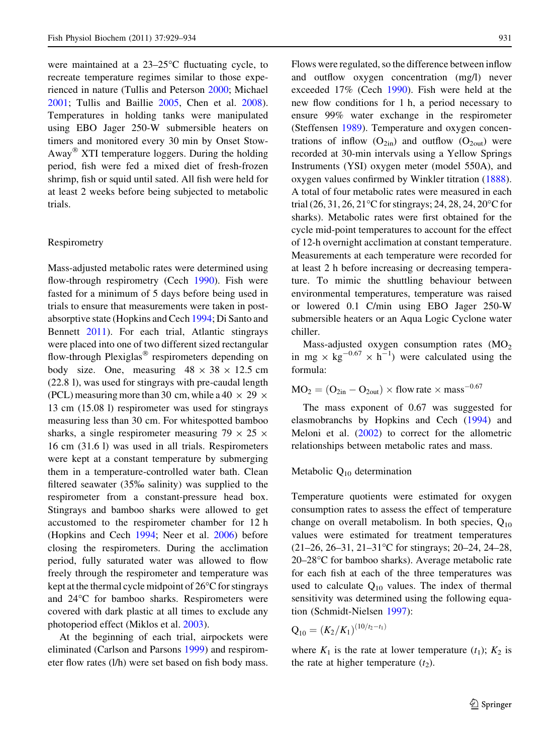were maintained at a  $23-25$ °C fluctuating cycle, to recreate temperature regimes similar to those experienced in nature (Tullis and Peterson [2000](#page-5-0); Michael [2001;](#page-5-0) Tullis and Baillie [2005,](#page-5-0) Chen et al. [2008](#page-4-0)). Temperatures in holding tanks were manipulated using EBO Jager 250-W submersible heaters on timers and monitored every 30 min by Onset Stow-Away<sup>®</sup> XTI temperature loggers. During the holding period, fish were fed a mixed diet of fresh-frozen shrimp, fish or squid until sated. All fish were held for at least 2 weeks before being subjected to metabolic trials.

### Respirometry

Mass-adjusted metabolic rates were determined using flow-through respirometry (Cech [1990](#page-4-0)). Fish were fasted for a minimum of 5 days before being used in trials to ensure that measurements were taken in postabsorptive state (Hopkins and Cech [1994](#page-5-0); Di Santo and Bennett [2011](#page-4-0)). For each trial, Atlantic stingrays were placed into one of two different sized rectangular flow-through Plexiglas<sup>®</sup> respirometers depending on body size. One, measuring  $48 \times 38 \times 12.5$  cm (22.8 l), was used for stingrays with pre-caudal length (PCL) measuring more than 30 cm, while a 40  $\times$  29  $\times$ 13 cm (15.08 l) respirometer was used for stingrays measuring less than 30 cm. For whitespotted bamboo sharks, a single respirometer measuring  $79 \times 25 \times$ 16 cm (31.6 l) was used in all trials. Respirometers were kept at a constant temperature by submerging them in a temperature-controlled water bath. Clean filtered seawater  $(35\%$  salinity) was supplied to the respirometer from a constant-pressure head box. Stingrays and bamboo sharks were allowed to get accustomed to the respirometer chamber for 12 h (Hopkins and Cech [1994](#page-5-0); Neer et al. [2006\)](#page-5-0) before closing the respirometers. During the acclimation period, fully saturated water was allowed to flow freely through the respirometer and temperature was kept at the thermal cycle midpoint of  $26^{\circ}$ C for stingrays and 24°C for bamboo sharks. Respirometers were covered with dark plastic at all times to exclude any photoperiod effect (Miklos et al. [2003](#page-5-0)).

At the beginning of each trial, airpockets were eliminated (Carlson and Parsons [1999](#page-4-0)) and respirometer flow rates (l/h) were set based on fish body mass. Flows were regulated, so the difference between inflow and outflow oxygen concentration (mg/l) never exceeded 17% (Cech [1990](#page-4-0)). Fish were held at the new flow conditions for 1 h, a period necessary to ensure 99% water exchange in the respirometer (Steffensen [1989\)](#page-5-0). Temperature and oxygen concentrations of inflow  $(O_{2in})$  and outflow  $(O_{2out})$  were recorded at 30-min intervals using a Yellow Springs Instruments (YSI) oxygen meter (model 550A), and oxygen values confirmed by Winkler titration ([1888](#page-5-0)). A total of four metabolic rates were measured in each trial  $(26, 31, 26, 21^{\circ}$ C for stingrays; 24, 28, 24, 20<sup>o</sup>C for sharks). Metabolic rates were first obtained for the cycle mid-point temperatures to account for the effect of 12-h overnight acclimation at constant temperature. Measurements at each temperature were recorded for at least 2 h before increasing or decreasing temperature. To mimic the shuttling behaviour between environmental temperatures, temperature was raised or lowered 0.1 C/min using EBO Jager 250-W submersible heaters or an Aqua Logic Cyclone water chiller.

Mass-adjusted oxygen consumption rates  $(MO<sub>2</sub>)$ in mg  $\times$  kg<sup>-0.67</sup>  $\times$  h<sup>-1</sup>) were calculated using the formula:

 $MO_2 = (O_{2in} - O_{2out}) \times flow$  rate  $\times$  mass<sup>-0.67</sup>

The mass exponent of 0.67 was suggested for elasmobranchs by Hopkins and Cech ([1994\)](#page-5-0) and Meloni et al. [\(2002](#page-5-0)) to correct for the allometric relationships between metabolic rates and mass.

## Metabolic Q10 determination

Temperature quotients were estimated for oxygen consumption rates to assess the effect of temperature change on overall metabolism. In both species,  $Q_{10}$ values were estimated for treatment temperatures  $(21–26, 26–31, 21–31°C$  for stingrays; 20–24, 24–28,  $20-28$ °C for bamboo sharks). Average metabolic rate for each fish at each of the three temperatures was used to calculate  $Q_{10}$  values. The index of thermal sensitivity was determined using the following equation (Schmidt-Nielsen [1997\)](#page-5-0):

$$
Q_{10} = (K_2/K_1)^{(10/t_2 - t_1)}
$$

where  $K_1$  is the rate at lower temperature  $(t_1)$ ;  $K_2$  is the rate at higher temperature  $(t_2)$ .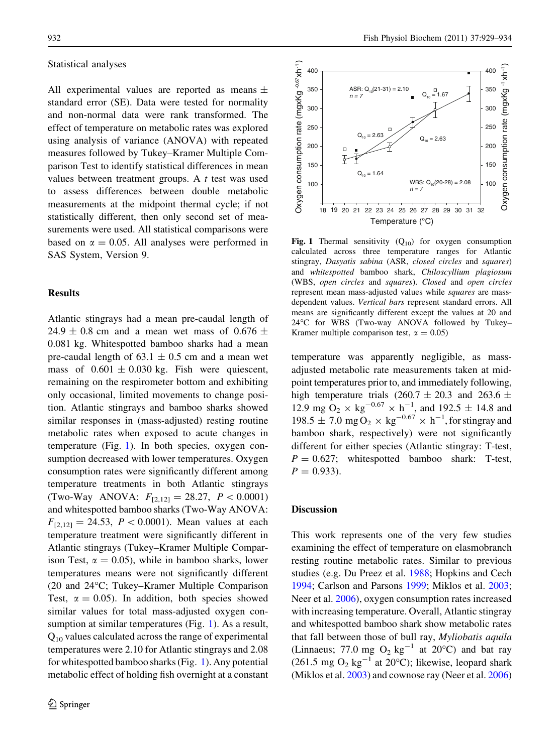### Statistical analyses

All experimental values are reported as means  $\pm$ standard error (SE). Data were tested for normality and non-normal data were rank transformed. The effect of temperature on metabolic rates was explored using analysis of variance (ANOVA) with repeated measures followed by Tukey–Kramer Multiple Comparison Test to identify statistical differences in mean values between treatment groups. A  $t$  test was used to assess differences between double metabolic measurements at the midpoint thermal cycle; if not statistically different, then only second set of measurements were used. All statistical comparisons were based on  $\alpha = 0.05$ . All analyses were performed in SAS System, Version 9.

### Results

Atlantic stingrays had a mean pre-caudal length of 24.9  $\pm$  0.8 cm and a mean wet mass of 0.676  $\pm$ 0.081 kg. Whitespotted bamboo sharks had a mean pre-caudal length of  $63.1 \pm 0.5$  cm and a mean wet mass of  $0.601 \pm 0.030$  kg. Fish were quiescent, remaining on the respirometer bottom and exhibiting only occasional, limited movements to change position. Atlantic stingrays and bamboo sharks showed similar responses in (mass-adjusted) resting routine metabolic rates when exposed to acute changes in temperature (Fig. 1). In both species, oxygen consumption decreased with lower temperatures. Oxygen consumption rates were significantly different among temperature treatments in both Atlantic stingrays (Two-Way ANOVA:  $F_{[2,12]} = 28.27$ ,  $P < 0.0001$ ) and whitespotted bamboo sharks (Two-Way ANOVA:  $F_{[2,12]} = 24.53$ ,  $P < 0.0001$ ). Mean values at each temperature treatment were significantly different in Atlantic stingrays (Tukey–Kramer Multiple Comparison Test,  $\alpha = 0.05$ ), while in bamboo sharks, lower temperatures means were not significantly different (20 and 24°C; Tukey–Kramer Multiple Comparison Test,  $\alpha = 0.05$ ). In addition, both species showed similar values for total mass-adjusted oxygen consumption at similar temperatures (Fig. 1). As a result, Q10 values calculated across the range of experimental temperatures were 2.10 for Atlantic stingrays and 2.08 for whitespotted bamboo sharks (Fig. 1). Any potential metabolic effect of holding fish overnight at a constant



Fig. 1 Thermal sensitivity  $(Q_{10})$  for oxygen consumption calculated across three temperature ranges for Atlantic stingray, Dasyatis sabina (ASR, closed circles and squares) and whitespotted bamboo shark, Chiloscyllium plagiosum (WBS, open circles and squares). Closed and open circles represent mean mass-adjusted values while squares are massdependent values. Vertical bars represent standard errors. All means are significantly different except the values at 20 and 24°C for WBS (Two-way ANOVA followed by Tukey– Kramer multiple comparison test,  $\alpha = 0.05$ )

temperature was apparently negligible, as massadjusted metabolic rate measurements taken at midpoint temperatures prior to, and immediately following, high temperature trials (260.7  $\pm$  20.3 and 263.6  $\pm$ 12.9 mg O<sub>2</sub>  $\times$  kg<sup>-0.67</sup>  $\times$  h<sup>-1</sup>, and 192.5  $\pm$  14.8 and 198.5  $\pm$  7.0 mg O<sub>2</sub>  $\times$  kg<sup>-0.67</sup>  $\times$  h<sup>-1</sup>, for stingray and bamboo shark, respectively) were not significantly different for either species (Atlantic stingray: T-test,  $P = 0.627$ ; whitespotted bamboo shark: T-test,  $P = 0.933$ .

#### **Discussion**

This work represents one of the very few studies examining the effect of temperature on elasmobranch resting routine metabolic rates. Similar to previous studies (e.g. Du Preez et al. [1988;](#page-4-0) Hopkins and Cech [1994;](#page-5-0) Carlson and Parsons [1999;](#page-4-0) Miklos et al. [2003](#page-5-0); Neer et al. [2006\)](#page-5-0), oxygen consumption rates increased with increasing temperature. Overall, Atlantic stingray and whitespotted bamboo shark show metabolic rates that fall between those of bull ray, Myliobatis aquila (Linnaeus; 77.0 mg  $O_2$  kg<sup>-1</sup> at 20°C) and bat ray (261.5 mg  $O_2$  kg<sup>-1</sup> at 20°C); likewise, leopard shark (Miklos et al. [2003\)](#page-5-0) and cownose ray (Neer et al. [2006\)](#page-5-0)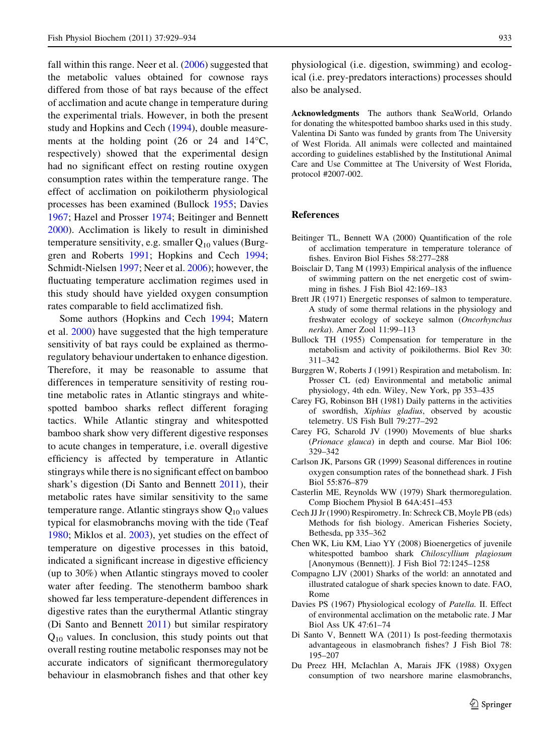<span id="page-4-0"></span>fall within this range. Neer et al. [\(2006](#page-5-0)) suggested that the metabolic values obtained for cownose rays differed from those of bat rays because of the effect of acclimation and acute change in temperature during the experimental trials. However, in both the present study and Hopkins and Cech [\(1994](#page-5-0)), double measurements at the holding point (26 or 24 and  $14^{\circ}$ C, respectively) showed that the experimental design had no significant effect on resting routine oxygen consumption rates within the temperature range. The effect of acclimation on poikilotherm physiological processes has been examined (Bullock 1955; Davies 1967; Hazel and Prosser [1974;](#page-5-0) Beitinger and Bennett 2000). Acclimation is likely to result in diminished temperature sensitivity, e.g. smaller  $Q_{10}$  values (Burggren and Roberts 1991; Hopkins and Cech [1994](#page-5-0); Schmidt-Nielsen [1997;](#page-5-0) Neer et al. [2006](#page-5-0)); however, the fluctuating temperature acclimation regimes used in this study should have yielded oxygen consumption rates comparable to field acclimatized fish.

Some authors (Hopkins and Cech [1994;](#page-5-0) Matern et al. [2000\)](#page-5-0) have suggested that the high temperature sensitivity of bat rays could be explained as thermoregulatory behaviour undertaken to enhance digestion. Therefore, it may be reasonable to assume that differences in temperature sensitivity of resting routine metabolic rates in Atlantic stingrays and whitespotted bamboo sharks reflect different foraging tactics. While Atlantic stingray and whitespotted bamboo shark show very different digestive responses to acute changes in temperature, i.e. overall digestive efficiency is affected by temperature in Atlantic stingrays while there is no significant effect on bamboo shark's digestion (Di Santo and Bennett 2011), their metabolic rates have similar sensitivity to the same temperature range. Atlantic stingrays show  $Q_{10}$  values typical for elasmobranchs moving with the tide (Teaf [1980;](#page-5-0) Miklos et al. [2003](#page-5-0)), yet studies on the effect of temperature on digestive processes in this batoid, indicated a significant increase in digestive efficiency (up to 30%) when Atlantic stingrays moved to cooler water after feeding. The stenotherm bamboo shark showed far less temperature-dependent differences in digestive rates than the eurythermal Atlantic stingray (Di Santo and Bennett 2011) but similar respiratory  $Q_{10}$  values. In conclusion, this study points out that overall resting routine metabolic responses may not be accurate indicators of significant thermoregulatory behaviour in elasmobranch fishes and that other key

physiological (i.e. digestion, swimming) and ecological (i.e. prey-predators interactions) processes should also be analysed.

Acknowledgments The authors thank SeaWorld, Orlando for donating the whitespotted bamboo sharks used in this study. Valentina Di Santo was funded by grants from The University of West Florida. All animals were collected and maintained according to guidelines established by the Institutional Animal Care and Use Committee at The University of West Florida, protocol #2007-002.

### References

- Beitinger TL, Bennett WA (2000) Quantification of the role of acclimation temperature in temperature tolerance of fishes. Environ Biol Fishes 58:277–288
- Boisclair D, Tang M (1993) Empirical analysis of the influence of swimming pattern on the net energetic cost of swimming in fishes. J Fish Biol 42:169–183
- Brett JR (1971) Energetic responses of salmon to temperature. A study of some thermal relations in the physiology and freshwater ecology of sockeye salmon (Oncorhynchus nerka). Amer Zool 11:99–113
- Bullock TH (1955) Compensation for temperature in the metabolism and activity of poikilotherms. Biol Rev 30: 311–342
- Burggren W, Roberts J (1991) Respiration and metabolism. In: Prosser CL (ed) Environmental and metabolic animal physiology, 4th edn. Wiley, New York, pp 353–435
- Carey FG, Robinson BH (1981) Daily patterns in the activities of swordfish, Xiphius gladius, observed by acoustic telemetry. US Fish Bull 79:277–292
- Carey FG, Scharold JV (1990) Movements of blue sharks (Prionace glauca) in depth and course. Mar Biol 106: 329–342
- Carlson JK, Parsons GR (1999) Seasonal differences in routine oxygen consumption rates of the bonnethead shark. J Fish Biol 55:876–879
- Casterlin ME, Reynolds WW (1979) Shark thermoregulation. Comp Biochem Physiol B 64A:451–453
- Cech JJ Jr (1990) Respirometry. In: Schreck CB, Moyle PB (eds) Methods for fish biology. American Fisheries Society, Bethesda, pp 335–362
- Chen WK, Liu KM, Liao YY (2008) Bioenergetics of juvenile whitespotted bamboo shark Chiloscyllium plagiosum [Anonymous (Bennett)]. J Fish Biol 72:1245–1258
- Compagno LJV (2001) Sharks of the world: an annotated and illustrated catalogue of shark species known to date. FAO, Rome
- Davies PS (1967) Physiological ecology of Patella. II. Effect of environmental acclimation on the metabolic rate. J Mar Biol Ass UK 47:61–74
- Di Santo V, Bennett WA (2011) Is post-feeding thermotaxis advantageous in elasmobranch fishes? J Fish Biol 78: 195–207
- Du Preez HH, McIachlan A, Marais JFK (1988) Oxygen consumption of two nearshore marine elasmobranchs,